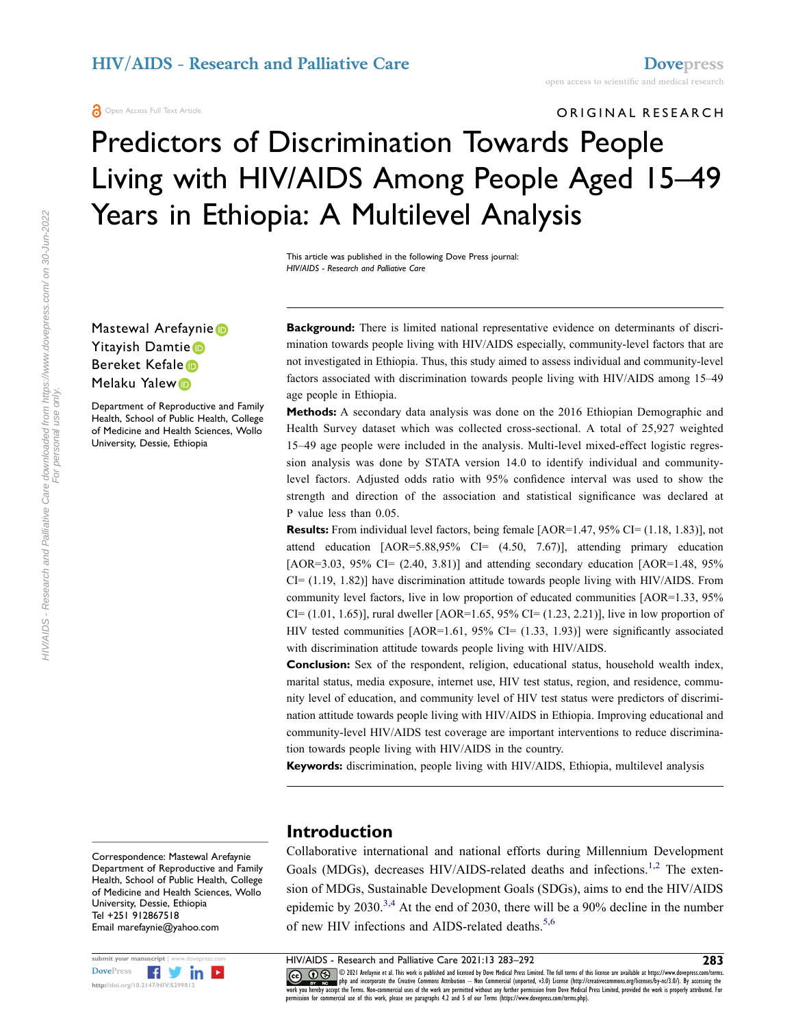#### ORIGINAL RESEARCH

# Predictors of Discrimination Towards People Living with HIV/AIDS Among People Aged 15–49 Years in Ethiopia: A Multilevel Analysis

This article was published in the following Dove Press journal: *HIV/AIDS - Research and Palliative Care*

Mastewal Arefaynie Yitayish Damtie D Bereket Kefale Melaku Yale[w](http://orcid.org/0000-0002-7314-2523)<sup>iD</sup>

Department of Reproductive and Family Health, School of Public Health, College of Medicine and Health Sciences, Wollo University, Dessie, Ethiopia

**Background:** There is limited national representative evidence on determinants of discrimination towards people living with HIV/AIDS especially, community-level factors that are not investigated in Ethiopia. Thus, this study aimed to assess individual and community-level factors associated with discrimination towards people living with HIV/AIDS among 15–49 age people in Ethiopia.

**Methods:** A secondary data analysis was done on the 2016 Ethiopian Demographic and Health Survey dataset which was collected cross-sectional. A total of 25,927 weighted 15–49 age people were included in the analysis. Multi-level mixed-effect logistic regression analysis was done by STATA version 14.0 to identify individual and communitylevel factors. Adjusted odds ratio with 95% confidence interval was used to show the strength and direction of the association and statistical significance was declared at P value less than 0.05.

**Results:** From individual level factors, being female [AOR=1.47, 95% CI= (1.18, 1.83)], not attend education [AOR=5.88,95% CI= (4.50, 7.67)], attending primary education [AOR=3.03, 95% CI= (2.40, 3.81)] and attending secondary education [AOR=1.48, 95%  $CI = (1.19, 1.82)$ ] have discrimination attitude towards people living with HIV/AIDS. From community level factors, live in low proportion of educated communities [AOR=1.33, 95% CI=  $(1.01, 1.65)$ ], rural dweller [AOR=1.65, 95% CI=  $(1.23, 2.21)$ ], live in low proportion of HIV tested communities [AOR=1.61, 95% CI= (1.33, 1.93)] were significantly associated with discrimination attitude towards people living with HIV/AIDS.

**Conclusion:** Sex of the respondent, religion, educational status, household wealth index, marital status, media exposure, internet use, HIV test status, region, and residence, community level of education, and community level of HIV test status were predictors of discrimination attitude towards people living with HIV/AIDS in Ethiopia. Improving educational and community-level HIV/AIDS test coverage are important interventions to reduce discrimination towards people living with HIV/AIDS in the country.

**Keywords:** discrimination, people living with HIV/AIDS, Ethiopia, multilevel analysis

#### **Introduction**

<span id="page-0-1"></span><span id="page-0-0"></span>Collaborative international and national efforts during Millennium Development Goals (MDGs), decreases HIV/AIDS-related deaths and infections.<sup>[1,](#page-7-0)[2](#page-7-1)</sup> The extension of MDGs, Sustainable Development Goals (SDGs), aims to end the HIV/AIDS epidemic by  $2030^{3,4}$  $2030^{3,4}$  $2030^{3,4}$  $2030^{3,4}$  $2030^{3,4}$  At the end of 2030, there will be a 90% decline in the number of new HIV infections and AIDS-related deaths.<sup>[5](#page-7-4)[,6](#page-7-5)</sup>

<span id="page-0-2"></span>

Correspondence: Mastewal Arefaynie Department of Reproductive and Family Health, School of Public Health, College of Medicine and Health Sciences, Wollo University, Dessie, Ethiopia Tel +251 912867518 Email [marefaynie@yahoo.com](mailto:marefaynie@yahoo.com)



submit your manuscript | www.dovepress.com **HIV/AIDS - Research and Palliative Care 2021:13 283–292 283 283 283 Dove** Medical Press Limited. The full terms of this license are available at https://www.dovepress.com **CO D**  $\otimes$  2021 Arefaynie et al. This work is published and licensed by Dove Medical Press Limited. The full terms of this license are available at https://www.dovepress.com/terms work you and incorporate the Creative Commons Attribution — Non Commercial (unported, v3.0) License (http://creativecommons.org/licenses/by-nc/3.0/). By accessing the<br>work you hereby accept the Terms. Non-commercial uses o permission for commercial use of this work, please see paragraphs 4.2 and 5 of our Terms (https://www.dovepress.com/terms.php).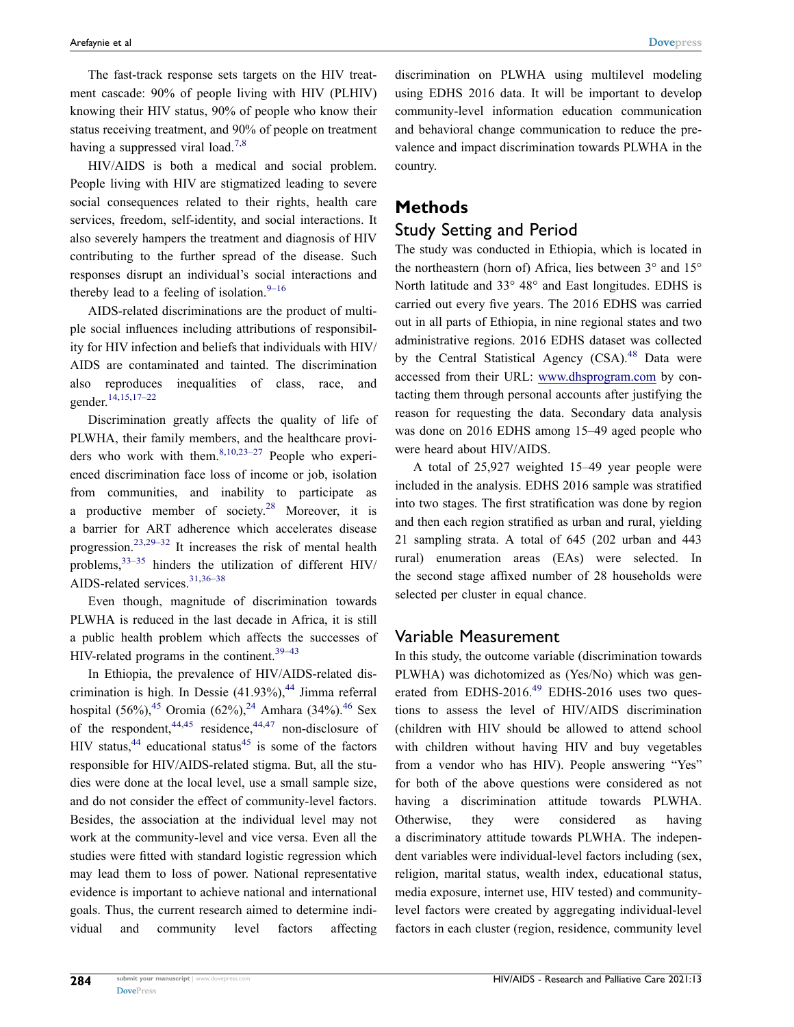The fast-track response sets targets on the HIV treatment cascade: 90% of people living with HIV (PLHIV) knowing their HIV status, 90% of people who know their status receiving treatment, and 90% of people on treatment having a suppressed viral load.<sup>[7,](#page-7-6)[8](#page-7-7)</sup>

<span id="page-1-0"></span>HIV/AIDS is both a medical and social problem. People living with HIV are stigmatized leading to severe social consequences related to their rights, health care services, freedom, self-identity, and social interactions. It also severely hampers the treatment and diagnosis of HIV contributing to the further spread of the disease. Such responses disrupt an individual's social interactions and thereby lead to a feeling of isolation. $9-16$ 

<span id="page-1-2"></span>AIDS-related discriminations are the product of multiple social influences including attributions of responsibility for HIV infection and beliefs that individuals with HIV/ AIDS are contaminated and tainted. The discrimination also reproduces inequalities of class, race, and gender. [14,](#page-8-0)[15](#page-8-1),[17–22](#page-8-2)

<span id="page-1-3"></span><span id="page-1-1"></span>Discrimination greatly affects the quality of life of PLWHA, their family members, and the healthcare providers who work with them. $8,10,23-27$  $8,10,23-27$  $8,10,23-27$  People who experienced discrimination face loss of income or job, isolation from communities, and inability to participate as a productive member of society.<sup>[28](#page-8-5)</sup> Moreover, it is a barrier for ART adherence which accelerates disease progression.<sup>23,[29–32](#page-8-6)</sup> It increases the risk of mental health problems,[33–35](#page-8-7) hinders the utilization of different HIV/ AIDS-related services.[31](#page-8-8)[,36–38](#page-8-9)

<span id="page-1-7"></span><span id="page-1-6"></span><span id="page-1-4"></span>Even though, magnitude of discrimination towards PLWHA is reduced in the last decade in Africa, it is still a public health problem which affects the successes of HIV-related programs in the continent.<sup>39-43</sup>

<span id="page-1-10"></span><span id="page-1-9"></span><span id="page-1-8"></span><span id="page-1-5"></span>In Ethiopia, the prevalence of HIV/AIDS-related discrimination is high. In Dessie  $(41.93\%)$ ,<sup>[44](#page-9-0)</sup> Jimma referral hospital (56%),<sup>[45](#page-9-1)</sup> Oromia (62%),<sup>[24](#page-8-11)</sup> Amhara (34%).<sup>46</sup> Sex of the respondent,  $44,45$  $44,45$  residence,  $44,47$  $44,47$  non-disclosure of HIV status,<sup>44</sup> educational status<sup>45</sup> is some of the factors responsible for HIV/AIDS-related stigma. But, all the studies were done at the local level, use a small sample size, and do not consider the effect of community-level factors. Besides, the association at the individual level may not work at the community-level and vice versa. Even all the studies were fitted with standard logistic regression which may lead them to loss of power. National representative evidence is important to achieve national and international goals. Thus, the current research aimed to determine individual and community level factors affecting

discrimination on PLWHA using multilevel modeling using EDHS 2016 data. It will be important to develop community-level information education communication and behavioral change communication to reduce the prevalence and impact discrimination towards PLWHA in the country.

#### **Methods** Study Setting and Period

<span id="page-1-11"></span>The study was conducted in Ethiopia, which is located in the northeastern (horn of) Africa, lies between 3° and 15° North latitude and 33° 48° and East longitudes. EDHS is carried out every five years. The 2016 EDHS was carried out in all parts of Ethiopia, in nine regional states and two administrative regions. 2016 EDHS dataset was collected by the Central Statistical Agency  $(CSA)$ .<sup>48</sup> Data were accessed from their URL: [www.dhsprogram.com](http://www.dhsprogram.com) by contacting them through personal accounts after justifying the reason for requesting the data. Secondary data analysis was done on 2016 EDHS among 15–49 aged people who were heard about HIV/AIDS.

A total of 25,927 weighted 15–49 year people were included in the analysis. EDHS 2016 sample was stratified into two stages. The first stratification was done by region and then each region stratified as urban and rural, yielding 21 sampling strata. A total of 645 (202 urban and 443 rural) enumeration areas (EAs) were selected. In the second stage affixed number of 28 households were selected per cluster in equal chance.

#### Variable Measurement

<span id="page-1-12"></span>In this study, the outcome variable (discrimination towards PLWHA) was dichotomized as (Yes/No) which was gen-erated from EDHS-2016.<sup>[49](#page-9-5)</sup> EDHS-2016 uses two questions to assess the level of HIV/AIDS discrimination (children with HIV should be allowed to attend school with children without having HIV and buy vegetables from a vendor who has HIV). People answering "Yes" for both of the above questions were considered as not having a discrimination attitude towards PLWHA. Otherwise, they were considered as having a discriminatory attitude towards PLWHA. The independent variables were individual-level factors including (sex, religion, marital status, wealth index, educational status, media exposure, internet use, HIV tested) and communitylevel factors were created by aggregating individual-level factors in each cluster (region, residence, community level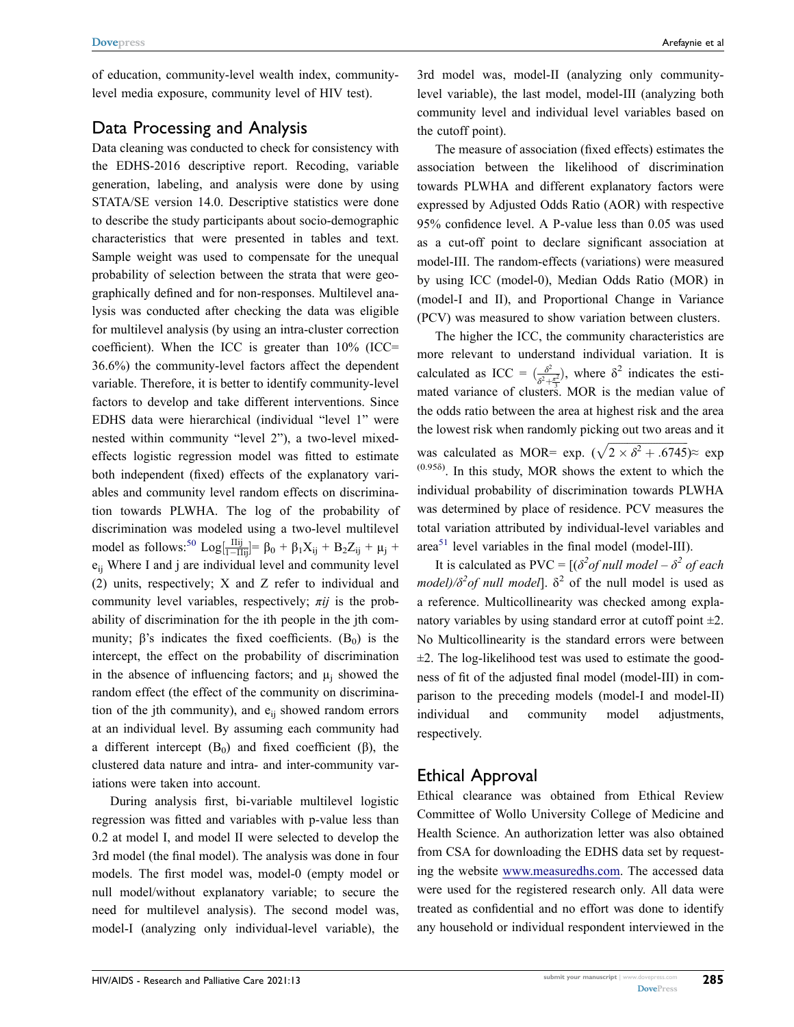of education, community-level wealth index, communitylevel media exposure, community level of HIV test).

#### Data Processing and Analysis

Data cleaning was conducted to check for consistency with the EDHS-2016 descriptive report. Recoding, variable generation, labeling, and analysis were done by using STATA/SE version 14.0. Descriptive statistics were done to describe the study participants about socio-demographic characteristics that were presented in tables and text. Sample weight was used to compensate for the unequal probability of selection between the strata that were geographically defined and for non-responses. Multilevel analysis was conducted after checking the data was eligible for multilevel analysis (by using an intra-cluster correction coefficient). When the ICC is greater than 10% (ICC= 36.6%) the community-level factors affect the dependent variable. Therefore, it is better to identify community-level factors to develop and take different interventions. Since EDHS data were hierarchical (individual "level 1" were nested within community "level 2"), a two-level mixedeffects logistic regression model was fitted to estimate both independent (fixed) effects of the explanatory variables and community level random effects on discrimination towards PLWHA. The log of the probability of discrimination was modeled using a two-level multilevel model as follows:<sup>[50](#page-9-6)</sup>  $Log[\frac{\text{Hij}}{1-\text{Hij}}] = \beta_0 + \beta_1 X_{ij} + B_2 Z_{ij} + \mu_j +$ eij Where I and j are individual level and community level (2) units, respectively; X and Z refer to individual and community level variables, respectively; *πij* is the probability of discrimination for the ith people in the jth community;  $\beta$ 's indicates the fixed coefficients. (B<sub>0</sub>) is the intercept, the effect on the probability of discrimination in the absence of influencing factors; and  $\mu_i$  showed the random effect (the effect of the community on discrimination of the jth community), and  $e_{ij}$  showed random errors at an individual level. By assuming each community had a different intercept  $(B_0)$  and fixed coefficient  $(\beta)$ , the clustered data nature and intra- and inter-community variations were taken into account.

<span id="page-2-0"></span>During analysis first, bi-variable multilevel logistic regression was fitted and variables with p-value less than 0.2 at model I, and model II were selected to develop the 3rd model (the final model). The analysis was done in four models. The first model was, model-0 (empty model or null model/without explanatory variable; to secure the need for multilevel analysis). The second model was, model-I (analyzing only individual-level variable), the 3rd model was, model-II (analyzing only communitylevel variable), the last model, model-III (analyzing both community level and individual level variables based on the cutoff point).

The measure of association (fixed effects) estimates the association between the likelihood of discrimination towards PLWHA and different explanatory factors were expressed by Adjusted Odds Ratio (AOR) with respective 95% confidence level. A P-value less than 0.05 was used as a cut-off point to declare significant association at model-III. The random-effects (variations) were measured by using ICC (model-0), Median Odds Ratio (MOR) in (model-I and II), and Proportional Change in Variance (PCV) was measured to show variation between clusters.

The higher the ICC, the community characteristics are more relevant to understand individual variation. It is calculated as ICC =  $\left(\frac{\delta^2}{\delta^2 + \frac{\sigma^2}{3}}\right)$ , where  $\delta^2$  indicates the estimated variance of clusters. MOR is the median value of the odds ratio between the area at highest risk and the area the lowest risk when randomly picking out two areas and it was calculated as MOR= exp.  $(\sqrt{2 \times \delta^2 + .6745})$   $\approx$  exp (0.95δ). In this study, MOR shows the extent to which the individual probability of discrimination towards PLWHA was determined by place of residence. PCV measures the total variation attributed by individual-level variables and area $51$  level variables in the final model (model-III).

<span id="page-2-1"></span>It is calculated as  $PVC = [(\delta^2 of \text{ null model} - \delta^2 \text{ of each})]$ *model)* $\delta^2$ *of null model*].  $\delta^2$  of the null model is used as a reference. Multicollinearity was checked among explanatory variables by using standard error at cutoff point  $\pm 2$ . No Multicollinearity is the standard errors were between  $\pm$ 2. The log-likelihood test was used to estimate the goodness of fit of the adjusted final model (model-III) in comparison to the preceding models (model-I and model-II) individual and community model adjustments, respectively.

#### Ethical Approval

Ethical clearance was obtained from Ethical Review Committee of Wollo University College of Medicine and Health Science. An authorization letter was also obtained from CSA for downloading the EDHS data set by requesting the website [www.measuredhs.com](http://www.measuredhs.com). The accessed data were used for the registered research only. All data were treated as confidential and no effort was done to identify any household or individual respondent interviewed in the

**285**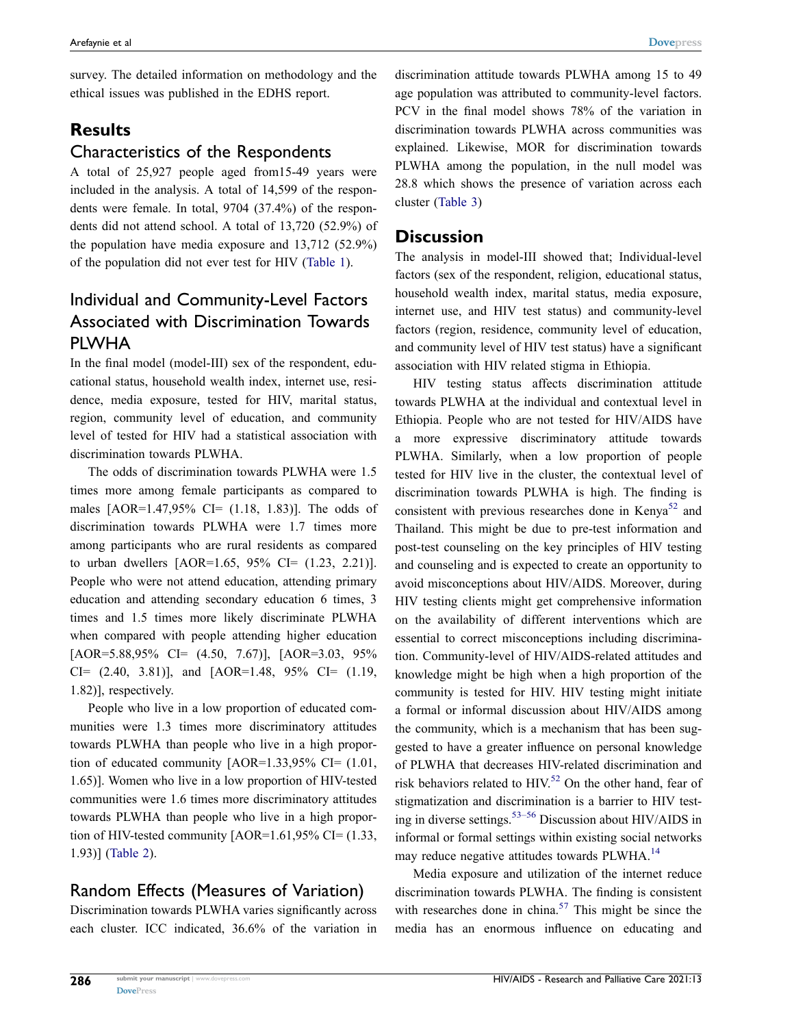survey. The detailed information on methodology and the ethical issues was published in the EDHS report.

### **Results**

#### Characteristics of the Respondents

A total of 25,927 people aged from15-49 years were included in the analysis. A total of 14,599 of the respondents were female. In total, 9704 (37.4%) of the respondents did not attend school. A total of 13,720 (52.9%) of the population have media exposure and 13,712 (52.9%) of the population did not ever test for HIV [\(Table 1\)](#page-4-0).

# Individual and Community-Level Factors Associated with Discrimination Towards PLWHA

In the final model (model-III) sex of the respondent, educational status, household wealth index, internet use, residence, media exposure, tested for HIV, marital status, region, community level of education, and community level of tested for HIV had a statistical association with discrimination towards PLWHA.

The odds of discrimination towards PLWHA were 1.5 times more among female participants as compared to males [AOR=1.47,95% CI= (1.18, 1.83)]. The odds of discrimination towards PLWHA were 1.7 times more among participants who are rural residents as compared to urban dwellers [AOR=1.65, 95% CI= (1.23, 2.21)]. People who were not attend education, attending primary education and attending secondary education 6 times, 3 times and 1.5 times more likely discriminate PLWHA when compared with people attending higher education [AOR=5.88,95% CI= (4.50, 7.67)], [AOR=3.03, 95%  $CI = (2.40, 3.81)$ ], and  $[AOR=1.48, 95\% \text{ CI} = (1.19,$ 1.82)], respectively.

People who live in a low proportion of educated communities were 1.3 times more discriminatory attitudes towards PLWHA than people who live in a high proportion of educated community [AOR=1.33,95% CI= (1.01, 1.65)]. Women who live in a low proportion of HIV-tested communities were 1.6 times more discriminatory attitudes towards PLWHA than people who live in a high proportion of HIV-tested community  $[AOR=1.61,95\% \text{ CI}=(1.33,$ 1.93)] ([Table 2](#page-5-0)).

#### Random Effects (Measures of Variation)

Discrimination towards PLWHA varies significantly across each cluster. ICC indicated, 36.6% of the variation in discrimination attitude towards PLWHA among 15 to 49 age population was attributed to community-level factors. PCV in the final model shows 78% of the variation in discrimination towards PLWHA across communities was explained. Likewise, MOR for discrimination towards PLWHA among the population, in the null model was 28.8 which shows the presence of variation across each cluster ([Table 3](#page-7-9))

#### **Discussion**

The analysis in model-III showed that; Individual-level factors (sex of the respondent, religion, educational status, household wealth index, marital status, media exposure, internet use, and HIV test status) and community-level factors (region, residence, community level of education, and community level of HIV test status) have a significant association with HIV related stigma in Ethiopia.

HIV testing status affects discrimination attitude towards PLWHA at the individual and contextual level in Ethiopia. People who are not tested for HIV/AIDS have a more expressive discriminatory attitude towards PLWHA. Similarly, when a low proportion of people tested for HIV live in the cluster, the contextual level of discrimination towards PLWHA is high. The finding is consistent with previous researches done in Kenya<sup>[52](#page-9-8)</sup> and Thailand. This might be due to pre-test information and post-test counseling on the key principles of HIV testing and counseling and is expected to create an opportunity to avoid misconceptions about HIV/AIDS. Moreover, during HIV testing clients might get comprehensive information on the availability of different interventions which are essential to correct misconceptions including discrimination. Community-level of HIV/AIDS-related attitudes and knowledge might be high when a high proportion of the community is tested for HIV. HIV testing might initiate a formal or informal discussion about HIV/AIDS among the community, which is a mechanism that has been suggested to have a greater influence on personal knowledge of PLWHA that decreases HIV-related discrimination and risk behaviors related to HIV. [52](#page-9-8) On the other hand, fear of stigmatization and discrimination is a barrier to HIV testing in diverse settings.[53–56](#page-9-9) Discussion about HIV/AIDS in informal or formal settings within existing social networks may reduce negative attitudes towards PLWHA.[14](#page-8-0)

<span id="page-3-2"></span><span id="page-3-1"></span><span id="page-3-0"></span>Media exposure and utilization of the internet reduce discrimination towards PLWHA. The finding is consistent with researches done in china.<sup>57</sup> This might be since the media has an enormous influence on educating and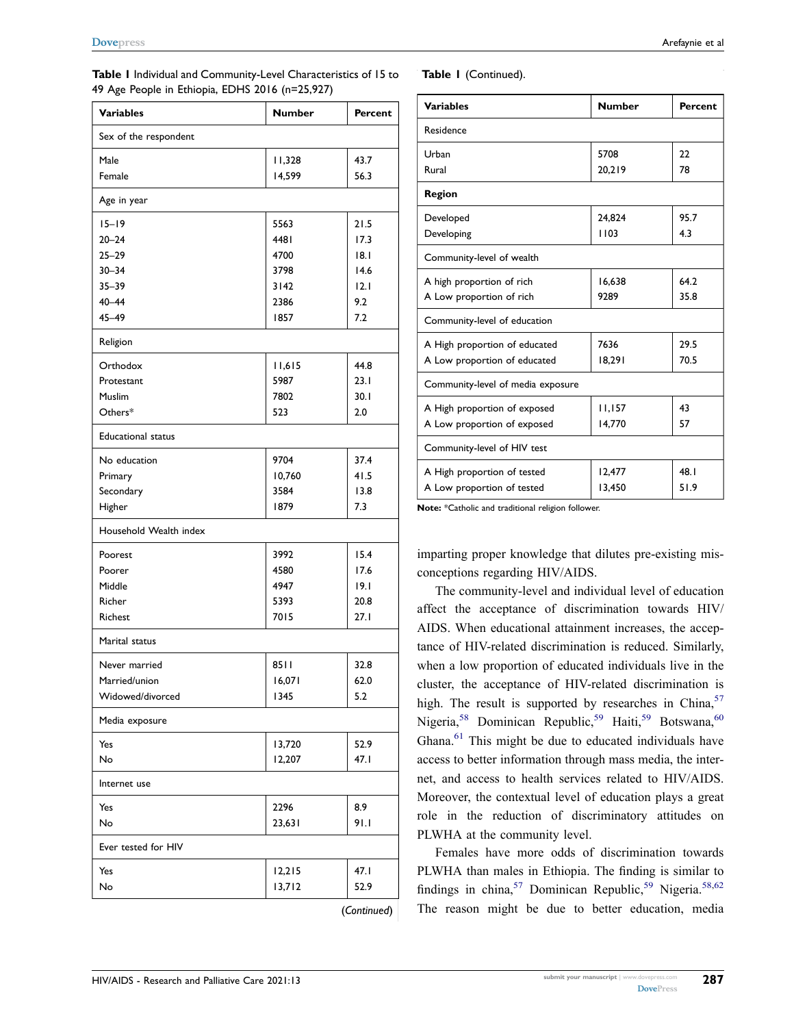<span id="page-4-0"></span>

| Table I Individual and Community-Level Characteristics of 15 to |  |
|-----------------------------------------------------------------|--|
| 49 Age People in Ethiopia, EDHS 2016 (n=25,927)                 |  |

| <b>Variables</b>          | <b>Number</b> | Percent |  |  |
|---------------------------|---------------|---------|--|--|
| Sex of the respondent     |               |         |  |  |
| Male                      | 11,328        | 43.7    |  |  |
| Female                    | 14,599        | 56.3    |  |  |
| Age in year               |               |         |  |  |
| $15 - 19$                 | 5563          | 21.5    |  |  |
| $20 - 24$                 | 4481          | 17.3    |  |  |
| $25 - 29$                 | 4700          | 8.1     |  |  |
| $30 - 34$                 | 3798          | 14.6    |  |  |
| $35 - 39$                 | $3142$        | 12.1    |  |  |
| $40 - 44$                 | 2386          | 9.2     |  |  |
| 45-49                     | 1857          | 7.2     |  |  |
| Religion                  |               |         |  |  |
| Orthodox                  | 11,615        | 44.8    |  |  |
| Protestant                | 5987          | 23.1    |  |  |
| Muslim                    | 7802          | 30.1    |  |  |
| Others*                   | 523           | 2.0     |  |  |
| <b>Educational status</b> |               |         |  |  |
| No education              | 9704          | 37.4    |  |  |
| Primary                   | 10,760        | 41.5    |  |  |
| Secondary                 | 3584          | 13.8    |  |  |
| Higher                    | 1879          | 7.3     |  |  |
| Household Wealth index    |               |         |  |  |
| Poorest                   | 3992          | 15.4    |  |  |
| Poorer                    | 4580          | 17.6    |  |  |
| Middle                    | 4947          | 19.1    |  |  |
| Richer                    | 5393          | 20.8    |  |  |
| <b>Richest</b>            | 7015          | 27.1    |  |  |
| Marital status            |               |         |  |  |
| Never married             | 8511          | 32.8    |  |  |
| Married/union             | 16,071        | 62.0    |  |  |
| Widowed/divorced          | 1345          | 5.2     |  |  |
| Media exposure            |               |         |  |  |
| Yes                       | 13,720        | 52.9    |  |  |
| No                        | 12,207        | 47.I    |  |  |
| Internet use              |               |         |  |  |
| Yes                       | 2296          | 8.9     |  |  |
| No                        | 23,631        | 91.1    |  |  |
| Ever tested for HIV       |               |         |  |  |
| Yes                       | 12,215        | 47.1    |  |  |
| No                        | 13,712        | 52.9    |  |  |
|                           |               |         |  |  |

(*Continued*)

**Table 1** (Continued).

| <b>Number</b><br><b>Percent</b>   |  |  |  |  |  |
|-----------------------------------|--|--|--|--|--|
|                                   |  |  |  |  |  |
|                                   |  |  |  |  |  |
| 22                                |  |  |  |  |  |
| 20.219<br>78                      |  |  |  |  |  |
|                                   |  |  |  |  |  |
| 24.824<br>95.7                    |  |  |  |  |  |
| 4.3                               |  |  |  |  |  |
| Community-level of wealth         |  |  |  |  |  |
| 64.2<br>16.638                    |  |  |  |  |  |
| 35.8                              |  |  |  |  |  |
| Community-level of education      |  |  |  |  |  |
| 29.5                              |  |  |  |  |  |
| 70.5<br>18.291                    |  |  |  |  |  |
| Community-level of media exposure |  |  |  |  |  |
| 11.157<br>43                      |  |  |  |  |  |
| 57<br>14,770                      |  |  |  |  |  |
| Community-level of HIV test       |  |  |  |  |  |
| 12.477<br>48.1                    |  |  |  |  |  |
| 51.9<br>13,450                    |  |  |  |  |  |
|                                   |  |  |  |  |  |

**Note:** \*Catholic and traditional religion follower.

imparting proper knowledge that dilutes pre-existing misconceptions regarding HIV/AIDS.

<span id="page-4-2"></span>The community-level and individual level of education affect the acceptance of discrimination towards HIV/ AIDS. When educational attainment increases, the acceptance of HIV-related discrimination is reduced. Similarly, when a low proportion of educated individuals live in the cluster, the acceptance of HIV-related discrimination is high. The result is supported by researches in China, $57$ Nigeria,<sup>58</sup> Dominican Republic,<sup>[59](#page-9-12)</sup> Haiti,<sup>59</sup> Botswana,<sup>[60](#page-9-13)</sup> Ghana.<sup>61</sup> This might be due to educated individuals have access to better information through mass media, the internet, and access to health services related to HIV/AIDS. Moreover, the contextual level of education plays a great role in the reduction of discriminatory attitudes on PLWHA at the community level.

<span id="page-4-3"></span><span id="page-4-1"></span>Females have more odds of discrimination towards PLWHA than males in Ethiopia. The finding is similar to findings in china,<sup>[57](#page-9-10)</sup> Dominican Republic,<sup>[59](#page-9-12)</sup> Nigeria.<sup>[58](#page-9-11),[62](#page-9-15)</sup> The reason might be due to better education, media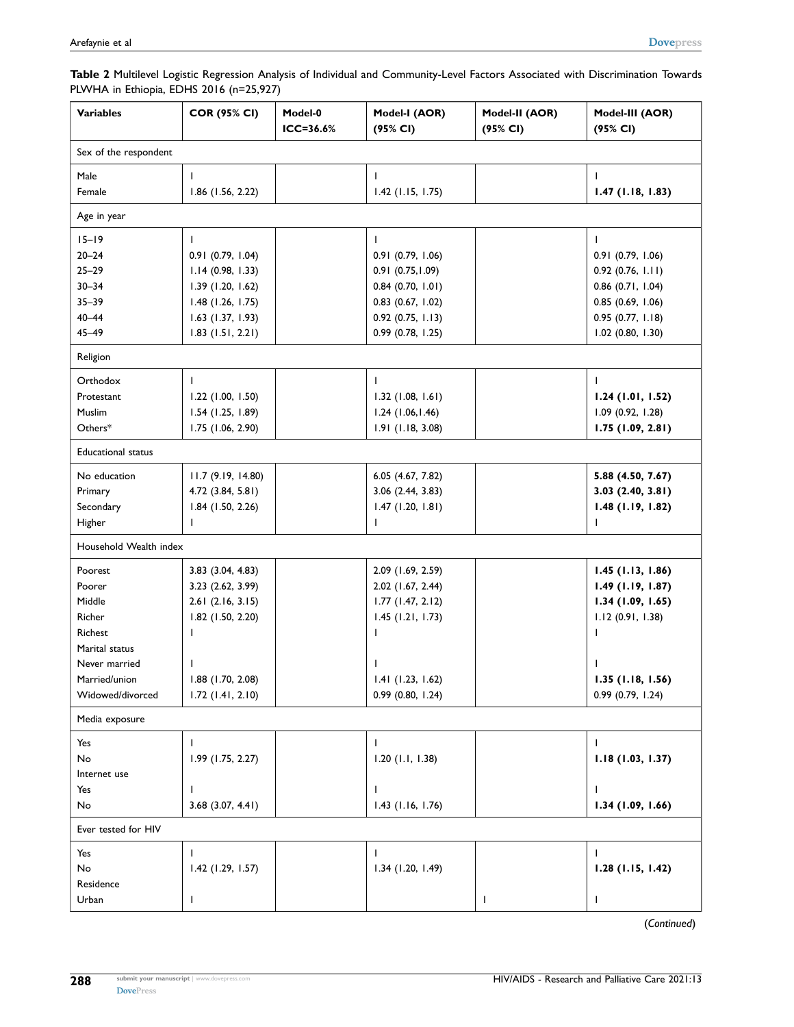<span id="page-5-0"></span>**Table 2** Multilevel Logistic Regression Analysis of Individual and Community-Level Factors Associated with Discrimination Towards PLWHA in Ethiopia, EDHS 2016 (n=25,927)

| <b>Variables</b>          | <b>COR (95% CI)</b>   | Model-0<br>ICC=36.6% | Model-I (AOR)<br>(95% CI) | Model-II (AOR)<br>(95% CI) | Model-III (AOR)<br>(95% CI) |
|---------------------------|-----------------------|----------------------|---------------------------|----------------------------|-----------------------------|
| Sex of the respondent     |                       |                      |                           |                            |                             |
| Male                      |                       |                      |                           |                            |                             |
| Female                    | $1.86$ (1.56, 2.22)   |                      | $1.42$ (1.15, 1.75)       |                            | $1.47$ (1.18, 1.83)         |
| Age in year               |                       |                      |                           |                            |                             |
| $15 - 19$                 | T                     |                      | L                         |                            | T                           |
| $20 - 24$                 | 0.91(0.79, 1.04)      |                      | 0.91(0.79, 1.06)          |                            | 0.91(0.79, 1.06)            |
| $25 - 29$                 | 1.14(0.98, 1.33)      |                      | 0.91(0.75, 1.09)          |                            | 0.92(0.76, 1.11)            |
| $30 - 34$                 | 1.39(1.20, 1.62)      |                      | 0.84(0.70, 1.01)          |                            | $0.86$ (0.71, 1.04)         |
| $35 - 39$                 | $1.48$ (1.26, 1.75)   |                      | $0.83$ $(0.67, 1.02)$     |                            | $0.85$ $(0.69, 1.06)$       |
| $40 - 44$                 | $1.63$ (1.37, 1.93)   |                      | 0.92(0.75, 1.13)          |                            | 0.95(0.77, 1.18)            |
| 45-49                     | $1.83$ (1.51, 2.21)   |                      | 0.99(0.78, 1.25)          |                            | $1.02$ (0.80, 1.30)         |
| Religion                  |                       |                      |                           |                            |                             |
| Orthodox                  | T                     |                      | L                         |                            |                             |
| Protestant                | $1.22$ (1.00, 1.50)   |                      | $1.32$ (1.08, 1.61)       |                            | 1.24(1.01, 1.52)            |
| Muslim                    | $1.54$ (1.25, 1.89)   |                      | 1.24(1.06, 1.46)          |                            | 1.09(0.92, 1.28)            |
| Others*                   | 1.75 (1.06, 2.90)     |                      | 1.91 (1.18, 3.08)         |                            | 1.75(1.09, 2.81)            |
| <b>Educational status</b> |                       |                      |                           |                            |                             |
| No education              | 11.7 (9.19, 14.80)    |                      | 6.05 (4.67, 7.82)         |                            | 5.88 (4.50, 7.67)           |
| Primary                   | $4.72$ $(3.84, 5.81)$ |                      | $3.06$ $(2.44, 3.83)$     |                            | 3.03(2.40, 3.81)            |
| Secondary                 | $1.84$ (1.50, 2.26)   |                      | $1.47$ (1.20, 1.81)       |                            | 1.48(1.19, 1.82)            |
| Higher                    | L                     |                      | L                         |                            | L                           |
| Household Wealth index    |                       |                      |                           |                            |                             |
| Poorest                   | $3.83$ $(3.04, 4.83)$ |                      | 2.09 (1.69, 2.59)         |                            | $1.45$ (1.13, 1.86)         |
| Poorer                    | $3.23$ $(2.62, 3.99)$ |                      | $2.02$ (1.67, 2.44)       |                            | 1.49(1.19, 1.87)            |
| Middle                    | 2.61(2.16, 3.15)      |                      | $1.77$ (1.47, 2.12)       |                            | 1.34(1.09, 1.65)            |
| Richer                    | 1.82 (1.50, 2.20)     |                      | $1.45$ (1.21, 1.73)       |                            | 1.12(0.91, 1.38)            |
| Richest                   | ı                     |                      |                           |                            |                             |
| Marital status            |                       |                      |                           |                            |                             |
| Never married             |                       |                      |                           |                            |                             |
| Married/union             | 1.88 (1.70, 2.08)     |                      | $1.41$ (1.23, 1.62)       |                            | 1.35(1.18, 1.56)            |
| Widowed/divorced          | $1.72$ (1.41, 2.10)   |                      | 0.99(0.80, 1.24)          |                            | 0.99 (0.79, 1.24)           |
| Media exposure            |                       |                      |                           |                            |                             |
| Yes                       | L                     |                      |                           |                            |                             |
| No                        | 1.99 (1.75, 2.27)     |                      | $1.20$ (1.1, 1.38)        |                            | 1.18(1.03, 1.37)            |
| Internet use              |                       |                      |                           |                            |                             |
| Yes                       | ı                     |                      |                           |                            | L                           |
| No                        | $3.68$ (3.07, 4.41)   |                      | $1.43$ (1.16, 1.76)       |                            | 1.34(1.09, 1.66)            |
| Ever tested for HIV       |                       |                      |                           |                            |                             |
| Yes                       | L                     |                      |                           |                            |                             |
| No                        | $1.42$ (1.29, 1.57)   |                      | $1.34$ (1.20, 1.49)       |                            | 1.28(1.15, 1.42)            |
| Residence                 |                       |                      |                           |                            |                             |
| Urban                     | L                     |                      |                           | L                          | I                           |

(*Continued*)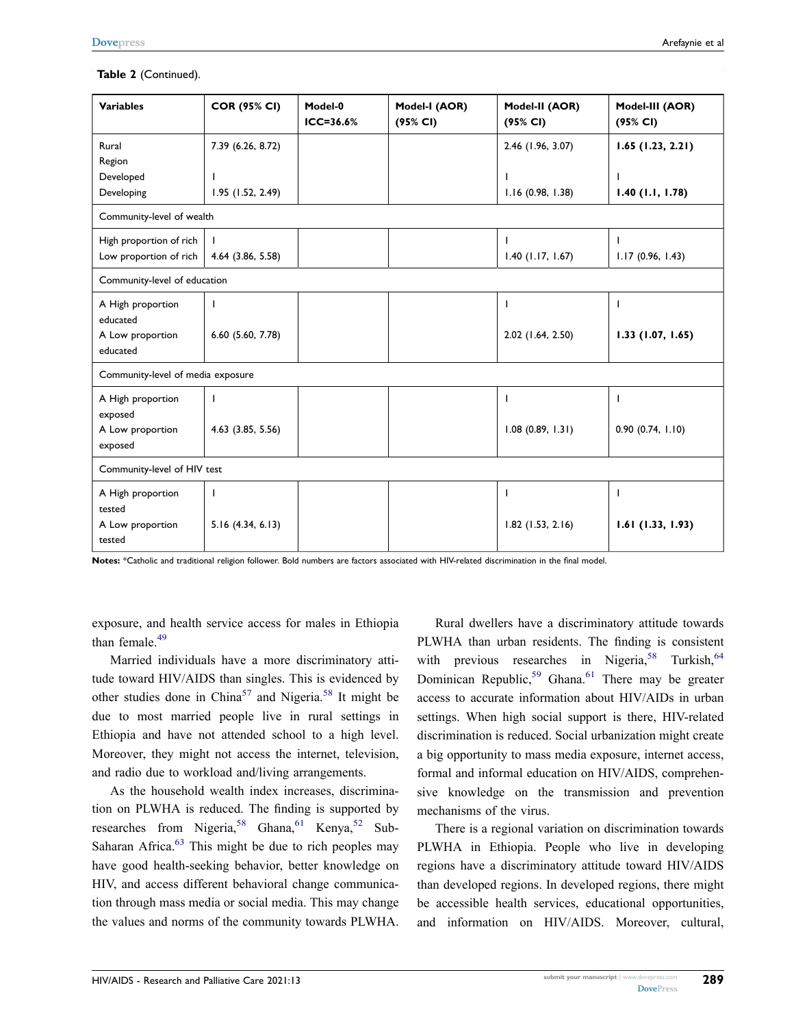#### **Table 2** (Continued).

| <b>Variables</b>                  | <b>COR (95% CI)</b>   | Model-0<br>$ICC = 36.6%$ | Model-I (AOR)<br>(95% CI) | Model-II (AOR)<br>(95% CI) | Model-III (AOR)<br>(95% CI) |
|-----------------------------------|-----------------------|--------------------------|---------------------------|----------------------------|-----------------------------|
| Rural<br>Region                   | 7.39 (6.26, 8.72)     |                          |                           | 2.46 (1.96, 3.07)          | $1.65$ (1.23, 2.21)         |
| Developed                         |                       |                          |                           |                            | $\mathbf{I}$                |
| Developing                        | $1.95$ (1.52, 2.49)   |                          |                           | 1.16(0.98, 1.38)           | $1.40$ (1.1, 1.78)          |
| Community-level of wealth         |                       |                          |                           |                            |                             |
| High proportion of rich           |                       |                          |                           | J.                         | <b>I</b>                    |
| Low proportion of rich            | $4.64$ $(3.86, 5.58)$ |                          |                           | $1.40$ (1.17, 1.67)        | 1.17(0.96, 1.43)            |
| Community-level of education      |                       |                          |                           |                            |                             |
| A High proportion<br>educated     | $\mathbf{I}$          |                          |                           | ı                          |                             |
| A Low proportion<br>educated      | 6.60 (5.60, 7.78)     |                          |                           | 2.02 (1.64, 2.50)          | 1.33(1.07, 1.65)            |
| Community-level of media exposure |                       |                          |                           |                            |                             |
| A High proportion<br>exposed      | J.                    |                          |                           | T                          | $\mathbf{I}$                |
| A Low proportion<br>exposed       | $4.63$ $(3.85, 5.56)$ |                          |                           | 1.08(0.89, 1.31)           | 0.90(0.74, 1.10)            |
| Community-level of HIV test       |                       |                          |                           |                            |                             |
| A High proportion<br>tested       | J.                    |                          |                           | T                          | $\mathbf{I}$                |
| A Low proportion<br>tested        | $5.16$ (4.34, 6.13)   |                          |                           | $1.82$ (1.53, 2.16)        | $1.61$ (1.33, 1.93)         |

**Notes:** \*Catholic and traditional religion follower. Bold numbers are factors associated with HIV-related discrimination in the final model.

exposure, and health service access for males in Ethiopia than female.<sup>49</sup>

Married individuals have a more discriminatory attitude toward HIV/AIDS than singles. This is evidenced by other studies done in China<sup>[57](#page-9-10)</sup> and Nigeria.<sup>58</sup> It might be due to most married people live in rural settings in Ethiopia and have not attended school to a high level. Moreover, they might not access the internet, television, and radio due to workload and/living arrangements.

<span id="page-6-0"></span>As the household wealth index increases, discrimination on PLWHA is reduced. The finding is supported by researches from Nigeria,<sup>58</sup> Ghana,<sup>61</sup> Kenya,<sup>52</sup> Sub-Saharan Africa. $63$  This might be due to rich peoples may have good health-seeking behavior, better knowledge on HIV, and access different behavioral change communication through mass media or social media. This may change the values and norms of the community towards PLWHA.

<span id="page-6-1"></span>Rural dwellers have a discriminatory attitude towards PLWHA than urban residents. The finding is consistent with previous researches in Nigeria,  $58$  Turkish,  $64$ Dominican Republic,<sup>59</sup> Ghana.<sup>[61](#page-9-14)</sup> There may be greater access to accurate information about HIV/AIDs in urban settings. When high social support is there, HIV-related discrimination is reduced. Social urbanization might create a big opportunity to mass media exposure, internet access, formal and informal education on HIV/AIDS, comprehensive knowledge on the transmission and prevention mechanisms of the virus.

There is a regional variation on discrimination towards PLWHA in Ethiopia. People who live in developing regions have a discriminatory attitude toward HIV/AIDS than developed regions. In developed regions, there might be accessible health services, educational opportunities, and information on HIV/AIDS. Moreover, cultural,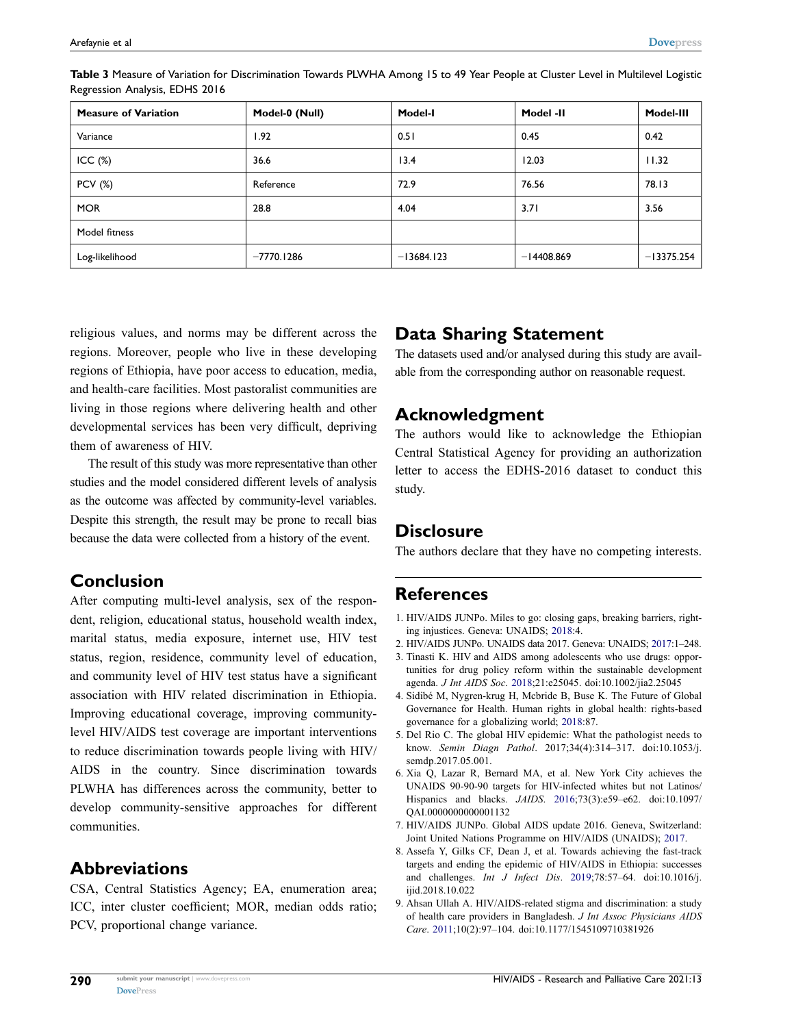| <b>Measure of Variation</b> | Model-0 (Null) | Model-I      | Model -II    | Model-III    |
|-----------------------------|----------------|--------------|--------------|--------------|
| Variance                    | 1.92           | 0.51         | 0.45         | 0.42         |
| ICC $(%)$                   | 36.6           | 13.4         | 12.03        | 11.32        |
| <b>PCV</b> (%)              | Reference      | 72.9         | 76.56        | 78.13        |
| <b>MOR</b>                  | 28.8           | 4.04         | 3.71         | 3.56         |
| Model fitness               |                |              |              |              |
| Log-likelihood              | $-7770.1286$   | $-13684.123$ | $-14408.869$ | $-13375.254$ |

<span id="page-7-9"></span>**Table 3** Measure of Variation for Discrimination Towards PLWHA Among 15 to 49 Year People at Cluster Level in Multilevel Logistic Regression Analysis, EDHS 2016

religious values, and norms may be different across the regions. Moreover, people who live in these developing regions of Ethiopia, have poor access to education, media, and health-care facilities. Most pastoralist communities are living in those regions where delivering health and other developmental services has been very difficult, depriving them of awareness of HIV.

The result of this study was more representative than other studies and the model considered different levels of analysis as the outcome was affected by community-level variables. Despite this strength, the result may be prone to recall bias because the data were collected from a history of the event.

# **Conclusion**

After computing multi-level analysis, sex of the respondent, religion, educational status, household wealth index, marital status, media exposure, internet use, HIV test status, region, residence, community level of education, and community level of HIV test status have a significant association with HIV related discrimination in Ethiopia. Improving educational coverage, improving communitylevel HIV/AIDS test coverage are important interventions to reduce discrimination towards people living with HIV/ AIDS in the country. Since discrimination towards PLWHA has differences across the community, better to develop community-sensitive approaches for different communities.

#### **Abbreviations**

CSA, Central Statistics Agency; EA, enumeration area; ICC, inter cluster coefficient; MOR, median odds ratio; PCV, proportional change variance.

# **Data Sharing Statement**

The datasets used and/or analysed during this study are available from the corresponding author on reasonable request.

#### **Acknowledgment**

The authors would like to acknowledge the Ethiopian Central Statistical Agency for providing an authorization letter to access the EDHS-2016 dataset to conduct this study.

#### **Disclosure**

The authors declare that they have no competing interests.

# **References**

- <span id="page-7-0"></span>1. HIV/AIDS JUNPo. Miles to go: closing gaps, breaking barriers, righting injustices. Geneva: UNAIDS; [2018:](#page-0-0)4.
- <span id="page-7-1"></span>2. HIV/AIDS JUNPo. UNAIDS data 2017. Geneva: UNAIDS; [2017:](#page-0-0)1–248.
- <span id="page-7-2"></span>3. Tinasti K. HIV and AIDS among adolescents who use drugs: opportunities for drug policy reform within the sustainable development agenda. *J Int AIDS Soc*. [2018;](#page-0-1)21:e25045. doi:[10.1002/jia2.25045](https://doi.org/10.1002/jia2.25045)
- <span id="page-7-3"></span>4. Sidibé M, Nygren-krug H, Mcbride B, Buse K. The Future of Global Governance for Health. Human rights in global health: rights-based governance for a globalizing world; [2018](#page-0-1):87.
- <span id="page-7-4"></span>5. Del Rio C. The global HIV epidemic: What the pathologist needs to know. *Semin Diagn Pathol*. 2017;34(4):314–317. doi:[10.1053/j.](https://doi.org/10.1053/j.semdp.2017.05.001) [semdp.2017.05.001.](https://doi.org/10.1053/j.semdp.2017.05.001)
- <span id="page-7-5"></span>6. Xia Q, Lazar R, Bernard MA, et al. New York City achieves the UNAIDS 90-90-90 targets for HIV-infected whites but not Latinos/ Hispanics and blacks. *JAIDS*. [2016](#page-0-2);73(3):e59–e62. doi:[10.1097/](https://doi.org/10.1097/QAI.0000000000001132) [QAI.0000000000001132](https://doi.org/10.1097/QAI.0000000000001132)
- <span id="page-7-6"></span>7. HIV/AIDS JUNPo. Global AIDS update 2016. Geneva, Switzerland: Joint United Nations Programme on HIV/AIDS (UNAIDS); [2017](#page-1-0).
- <span id="page-7-7"></span>8. Assefa Y, Gilks CF, Dean J, et al. Towards achieving the fast-track targets and ending the epidemic of HIV/AIDS in Ethiopia: successes and challenges. *Int J Infect Dis*. [2019](#page-1-1);78:57–64. doi:[10.1016/j.](https://doi.org/10.1016/j.ijid.2018.10.022) [ijid.2018.10.022](https://doi.org/10.1016/j.ijid.2018.10.022)
- <span id="page-7-8"></span>9. Ahsan Ullah A. HIV/AIDS-related stigma and discrimination: a study of health care providers in Bangladesh. *J Int Assoc Physicians AIDS Care*. [2011;](#page-1-2)10(2):97–104. doi:[10.1177/1545109710381926](https://doi.org/10.1177/1545109710381926)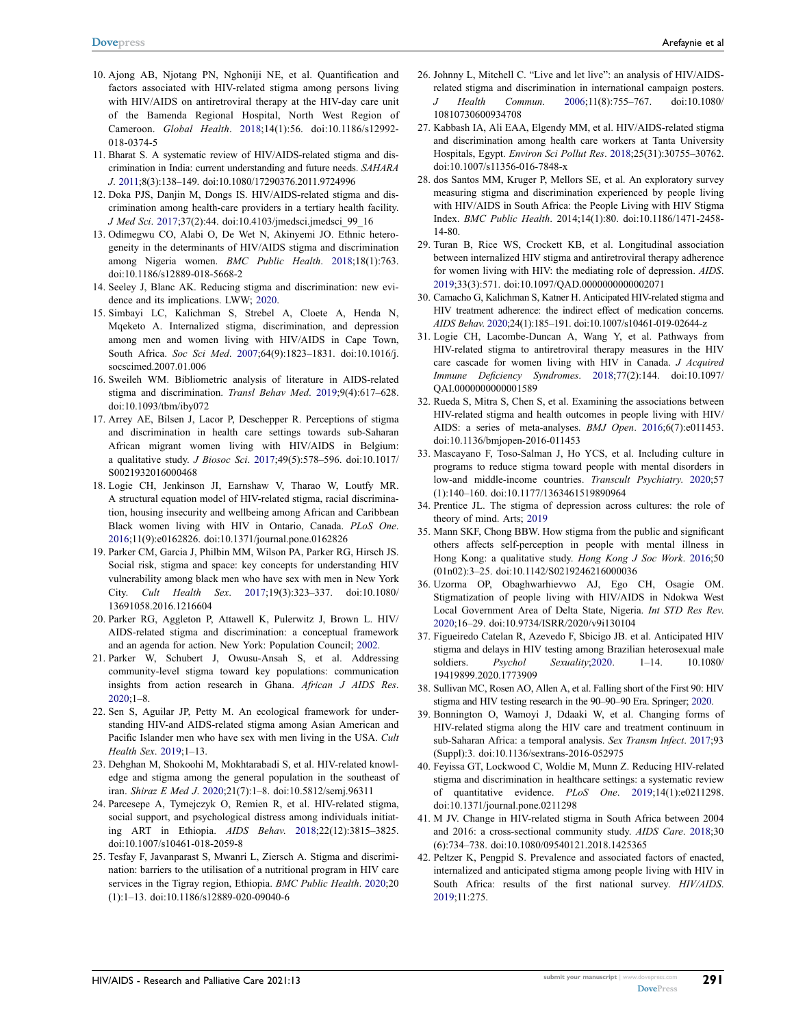- <span id="page-8-3"></span>10. Ajong AB, Njotang PN, Nghoniji NE, et al. Quantification and factors associated with HIV-related stigma among persons living with HIV/AIDS on antiretroviral therapy at the HIV-day care unit of the Bamenda Regional Hospital, North West Region of Cameroon. *Global Health*. [2018](#page-1-1);14(1):56. doi:[10.1186/s12992-](https://doi.org/10.1186/s12992-018-0374-5)  [018-0374-5](https://doi.org/10.1186/s12992-018-0374-5)
- 11. Bharat S. A systematic review of HIV/AIDS-related stigma and discrimination in India: current understanding and future needs. *SAHARA J*. 2011;8(3):138–149. doi:[10.1080/17290376.2011.9724996](https://doi.org/10.1080/17290376.2011.9724996)
- 12. Doka PJS, Danjin M, Dongs IS. HIV/AIDS-related stigma and discrimination among health-care providers in a tertiary health facility. *J Med Sci*. 2017;37(2):44. doi:[10.4103/jmedsci.jmedsci\\_99\\_16](https://doi.org/10.4103/jmedsci.jmedsci_99_16)
- 13. Odimegwu CO, Alabi O, De Wet N, Akinyemi JO. Ethnic heterogeneity in the determinants of HIV/AIDS stigma and discrimination among Nigeria women. *BMC Public Health*. 2018;18(1):763. doi:[10.1186/s12889-018-5668-2](https://doi.org/10.1186/s12889-018-5668-2)
- <span id="page-8-0"></span>14. Seeley J, Blanc AK. Reducing stigma and discrimination: new evidence and its implications. LWW; [2020.](#page-1-3)
- <span id="page-8-1"></span>15. Simbayi LC, Kalichman S, Strebel A, Cloete A, Henda N, Mqeketo A. Internalized stigma, discrimination, and depression among men and women living with HIV/AIDS in Cape Town, South Africa. *Soc Sci Med*. [2007;](#page-1-3)64(9):1823–1831. doi:[10.1016/j.](https://doi.org/10.1016/j.socscimed.2007.01.006)  [socscimed.2007.01.006](https://doi.org/10.1016/j.socscimed.2007.01.006)
- 16. Sweileh WM. Bibliometric analysis of literature in AIDS-related stigma and discrimination. *Transl Behav Med*. 2019;9(4):617–628. doi:[10.1093/tbm/iby072](https://doi.org/10.1093/tbm/iby072)
- <span id="page-8-2"></span>17. Arrey AE, Bilsen J, Lacor P, Deschepper R. Perceptions of stigma and discrimination in health care settings towards sub-Saharan African migrant women living with HIV/AIDS in Belgium: a qualitative study. *J Biosoc Sci*. [2017](#page-1-3);49(5):578–596. doi:[10.1017/](https://doi.org/10.1017/S0021932016000468)  [S0021932016000468](https://doi.org/10.1017/S0021932016000468)
- 18. Logie CH, Jenkinson JI, Earnshaw V, Tharao W, Loutfy MR. A structural equation model of HIV-related stigma, racial discrimination, housing insecurity and wellbeing among African and Caribbean Black women living with HIV in Ontario, Canada. *PLoS One*. 2016;11(9):e0162826. doi:[10.1371/journal.pone.0162826](https://doi.org/10.1371/journal.pone.0162826)
- 19. Parker CM, Garcia J, Philbin MM, Wilson PA, Parker RG, Hirsch JS. Social risk, stigma and space: key concepts for understanding HIV vulnerability among black men who have sex with men in New York City. *Cult Health Sex*. 2017;19(3):323–337. doi:[10.1080/](https://doi.org/10.1080/13691058.2016.1216604)  [13691058.2016.1216604](https://doi.org/10.1080/13691058.2016.1216604)
- 20. Parker RG, Aggleton P, Attawell K, Pulerwitz J, Brown L. HIV/ AIDS-related stigma and discrimination: a conceptual framework and an agenda for action. New York: Population Council; 2002.
- 21. Parker W, Schubert J, Owusu-Ansah S, et al. Addressing community-level stigma toward key populations: communication insights from action research in Ghana. *African J AIDS Res*.  $2020 \cdot 1 - 8$
- 22. Sen S, Aguilar JP, Petty M. An ecological framework for understanding HIV-and AIDS-related stigma among Asian American and Pacific Islander men who have sex with men living in the USA. *Cult Health Sex*. 2019;1–13.
- <span id="page-8-4"></span>23. Dehghan M, Shokoohi M, Mokhtarabadi S, et al. HIV-related knowledge and stigma among the general population in the southeast of iran. *Shiraz E Med J*. [2020](#page-1-4);21(7):1–8. doi:[10.5812/semj.96311](https://doi.org/10.5812/semj.96311)
- <span id="page-8-11"></span>24. Parcesepe A, Tymejczyk O, Remien R, et al. HIV-related stigma, social support, and psychological distress among individuals initiating ART in Ethiopia. *AIDS Behav*. [2018;](#page-1-5)22(12):3815–3825. doi:[10.1007/s10461-018-2059-8](https://doi.org/10.1007/s10461-018-2059-8)
- 25. Tesfay F, Javanparast S, Mwanri L, Ziersch A. Stigma and discrimination: barriers to the utilisation of a nutritional program in HIV care services in the Tigray region, Ethiopia. *BMC Public Health*. 2020;20 (1):1–13. doi:[10.1186/s12889-020-09040-6](https://doi.org/10.1186/s12889-020-09040-6)
- 26. Johnny L, Mitchell C. "Live and let live": an analysis of HIV/AIDSrelated stigma and discrimination in international campaign posters. *J Health Commun*. 2006;11(8):755–767. doi:[10.1080/](https://doi.org/10.1080/10810730600934708) [10810730600934708](https://doi.org/10.1080/10810730600934708)
- 27. Kabbash IA, Ali EAA, Elgendy MM, et al. HIV/AIDS-related stigma and discrimination among health care workers at Tanta University Hospitals, Egypt. *Environ Sci Pollut Res*. 2018;25(31):30755–30762. doi:[10.1007/s11356-016-7848-x](https://doi.org/10.1007/s11356-016-7848-x)
- <span id="page-8-5"></span>28. dos Santos MM, Kruger P, Mellors SE, et al. An exploratory survey measuring stigma and discrimination experienced by people living with HIV/AIDS in South Africa: the People Living with HIV Stigma Index. *BMC Public Health*. 2014;14(1):80. doi:[10.1186/1471-2458-](https://doi.org/10.1186/1471-2458-14-80) [14-80](https://doi.org/10.1186/1471-2458-14-80).
- <span id="page-8-6"></span>29. Turan B, Rice WS, Crockett KB, et al. Longitudinal association between internalized HIV stigma and antiretroviral therapy adherence for women living with HIV: the mediating role of depression. *AIDS*. [2019](#page-1-4);33(3):571. doi:[10.1097/QAD.0000000000002071](https://doi.org/10.1097/QAD.0000000000002071)
- 30. Camacho G, Kalichman S, Katner H. Anticipated HIV-related stigma and HIV treatment adherence: the indirect effect of medication concerns. *AIDS Behav*. 2020;24(1):185–191. doi:[10.1007/s10461-019-02644-z](https://doi.org/10.1007/s10461-019-02644-z)
- <span id="page-8-8"></span>31. Logie CH, Lacombe-Duncan A, Wang Y, et al. Pathways from HIV-related stigma to antiretroviral therapy measures in the HIV care cascade for women living with HIV in Canada. *J Acquired Immune Deficiency Syndromes*. [2018](#page-1-6);77(2):144. doi:[10.1097/](https://doi.org/10.1097/QAI.0000000000001589) [QAI.0000000000001589](https://doi.org/10.1097/QAI.0000000000001589)
- 32. Rueda S, Mitra S, Chen S, et al. Examining the associations between HIV-related stigma and health outcomes in people living with HIV/ AIDS: a series of meta-analyses. *BMJ Open*. 2016;6(7):e011453. doi:[10.1136/bmjopen-2016-011453](https://doi.org/10.1136/bmjopen-2016-011453)
- <span id="page-8-7"></span>33. Mascayano F, Toso-Salman J, Ho YCS, et al. Including culture in programs to reduce stigma toward people with mental disorders in low-and middle-income countries. *Transcult Psychiatry*. [2020](#page-1-7);57 (1):140–160. doi:[10.1177/1363461519890964](https://doi.org/10.1177/1363461519890964)
- 34. Prentice JL. The stigma of depression across cultures: the role of theory of mind. Arts; 2019
- 35. Mann SKF, Chong BBW. How stigma from the public and significant others affects self-perception in people with mental illness in Hong Kong: a qualitative study. *Hong Kong J Soc Work*. 2016;50 (01n02):3–25. doi:[10.1142/S0219246216000036](https://doi.org/10.1142/S0219246216000036)
- <span id="page-8-9"></span>36. Uzorma OP, Obaghwarhievwo AJ, Ego CH, Osagie OM. Stigmatization of people living with HIV/AIDS in Ndokwa West Local Government Area of Delta State, Nigeria. *Int STD Res Rev*. [2020](#page-1-6);16–29. doi:[10.9734/ISRR/2020/v9i130104](https://doi.org/10.9734/ISRR/2020/v9i130104)
- 37. Figueiredo Catelan R, Azevedo F, Sbicigo JB. et al. Anticipated HIV stigma and delays in HIV testing among Brazilian heterosexual male soldiers. *Psychol Sexuality*;2020. 1–14. [10.1080/](https://doi.org/10.1080/19419899.2020.1773909) [19419899.2020.1773909](https://doi.org/10.1080/19419899.2020.1773909)
- 38. Sullivan MC, Rosen AO, Allen A, et al. Falling short of the First 90: HIV stigma and HIV testing research in the 90–90–90 Era. Springer; 2020.
- <span id="page-8-10"></span>39. Bonnington O, Wamoyi J, Ddaaki W, et al. Changing forms of HIV-related stigma along the HIV care and treatment continuum in sub-Saharan Africa: a temporal analysis. *Sex Transm Infect*. [2017](#page-1-8);93 (Suppl):3. doi:[10.1136/sextrans-2016-052975](https://doi.org/10.1136/sextrans-2016-052975)
- 40. Feyissa GT, Lockwood C, Woldie M, Munn Z. Reducing HIV-related stigma and discrimination in healthcare settings: a systematic review of quantitative evidence. *PLoS One*. 2019;14(1):e0211298. doi:[10.1371/journal.pone.0211298](https://doi.org/10.1371/journal.pone.0211298)
- 41. M JV. Change in HIV-related stigma in South Africa between 2004 and 2016: a cross-sectional community study. *AIDS Care*. 2018;30 (6):734–738. doi:[10.1080/09540121.2018.1425365](https://doi.org/10.1080/09540121.2018.1425365)
- 42. Peltzer K, Pengpid S. Prevalence and associated factors of enacted, internalized and anticipated stigma among people living with HIV in South Africa: results of the first national survey. *HIV/AIDS*. 2019;11:275.